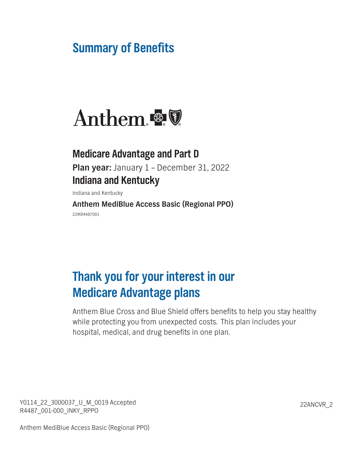# **Summary of Benefits**



# **Medicare Advantage and Part D Plan year: January 1 – December 31, 2022 Indiana and Kentucky**

**Indiana and Kentucky**

**Anthem MediBlue Access Basic (Regional PPO) 22IKR4487001**

# **Thank you for your interest in our Medicare Advantage plans**

**Anthem Blue Cross and Blue Shield offers benefits to help you stay healthy while protecting you from unexpected costs. This plan includes your hospital, medical, and drug benefits in one plan.**

**Y0114\_22\_3000037\_U\_M\_0019 Accepted 22ANCVR\_2 R4487\_001-000\_INKY\_RPPO**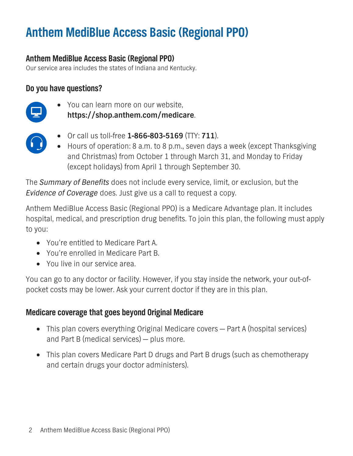# **Anthem MediBlue Access Basic (Regional PPO)**

**Our service area includes the states of Indiana and Kentucky.**

# **Do you have questions?**



**• You can learn more on our website, https://shop.anthem.com/medicare.**



- **• Or call us toll-free 1-866-803-5169 (TTY: 711).**
- **• Hours of operation: 8 a.m. to 8 p.m., seven days a week (except Thanksgiving and Christmas) from October 1 through March 31, and Monday to Friday (except holidays) from April 1 through September 30.**

**The** *Summary of Benefits* **does not include every service, limit, or exclusion, but the**  *Evidence of Coverage* **does. Just give us a call to request a copy.**

**Anthem MediBlue Access Basic (Regional PPO) is a Medicare Advantage plan. It includes hospital, medical, and prescription drug benefits. To join this plan, the following must apply to you:**

- **• You're entitled to Medicare Part A.**
- **• You're enrolled in Medicare Part B.**
- **• You live in our service area.**

**You can go to any doctor or facility. However, if you stay inside the network, your out-ofpocket costs may be lower. Ask your current doctor if they are in this plan.**

# **Medicare coverage that goes beyond Original Medicare**

- **• This plan covers everything Original Medicare covers Part A (hospital services) and Part B (medical services) — plus more.**
- **• This plan covers Medicare Part D drugs and Part B drugs (such as chemotherapy and certain drugs your doctor administers).**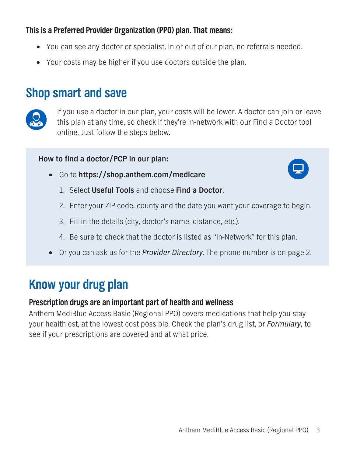# **This is a Preferred Provider Organization (PPO) plan. That means:**

- **• You can see any doctor or specialist, in or out of our plan, no referrals needed.**
- **• Your costs may be higher if you use doctors outside the plan.**

# **Shop smart and save**



**If you use a doctor in our plan, your costs will be lower. A doctor can join or leave this plan at any time, so check if they're in-network with our Find a Doctor tool online. Just follow the steps below.**

### **How to find a doctor/PCP in our plan:**



- **• Go to <https://shop.anthem.com/medicare>**
	- **1. Select Useful Tools and choose Find a Doctor.**
	- **2. Enter your ZIP code, county and the date you want your coverage to begin.**
	- **3. Fill in the details (city, doctor's name, distance, etc.).**
	- **4. Be sure to check that the doctor is listed as "In-Network" for this plan.**
- **• Or you can ask us for the** *Provider Directory***. The phone number is on page 2.**

# **Know your drug plan**

## **Prescription drugs are an important part of health and wellness**

**Anthem MediBlue Access Basic (Regional PPO) covers medications that help you stay your healthiest, at the lowest cost possible. Check the plan's drug list, or** *Formulary***, to see if your prescriptions are covered and at what price.**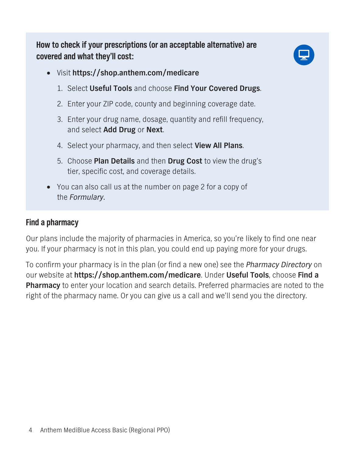**How to check if your prescriptions (or an acceptable alternative) are covered and what they'll cost:**



- **• Visit https://shop.anthem.com/medicare**
	- **1. Select Useful Tools and choose Find Your Covered Drugs.**
	- **2. Enter your ZIP code, county and beginning coverage date.**
	- **3. Enter your drug name, dosage, quantity and refill frequency, and select Add Drug or Next.**
	- **4. Select your pharmacy, and then select View All Plans.**
	- **5. Choose Plan Details and then Drug Cost to view the drug's tier, specific cost, and coverage details.**
- **• You can also call us at the number on page 2 for a copy of the** *Formulary***.**

# **Find a pharmacy**

**Our plans include the majority of pharmacies in America, so you're likely to find one near you. If your pharmacy is not in this plan, you could end up paying more for your drugs.** 

**To confirm your pharmacy is in the plan (or find a new one) see the** *Pharmacy Directory* **on our website at https://shop.anthem.com/medicare. Under Useful Tools, choose Find a Pharmacy to enter your location and search details. Preferred pharmacies are noted to the right of the pharmacy name. Or you can give us a call and we'll send you the directory.**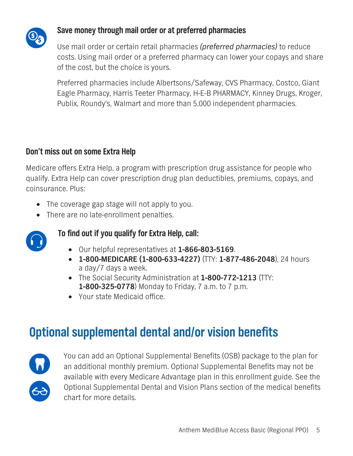

# **Save money through mail order or at preferred pharmacies**

**Use mail order or certain retail pharmacies** *(preferred pharmacies)* **to reduce costs. Using mail order or a preferred pharmacy can lower your copays and share of the cost, but the choice is yours.**

**Preferred pharmacies include Albertsons/Safeway, CVS Pharmacy, Costco, Giant Eagle Pharmacy, Harris Teeter Pharmacy, H-E-B PHARMACY, Kinney Drugs, Kroger, Publix, Roundy's, Walmart and more than 5,000 independent pharmacies.**

# **Don't miss out on some Extra Help**

**Medicare offers Extra Help, a program with prescription drug assistance for people who qualify. Extra Help can cover prescription drug plan deductibles, premiums, copays, and coinsurance. Plus:** 

- **• The coverage gap stage will not apply to you.**
- **• There are no late-enrollment penalties.**



# **To find out if you qualify for Extra Help, call:**

- **• Our helpful representatives at 1-866-803-5169.**
- **• 1-800-MEDICARE (1-800-633-4227) (TTY: 1-877-486-2048), 24 hours a day/7 days a week.**
- **• The Social Security Administration at 1-800-772-1213 (TTY: 1-800-325-0778) Monday to Friday, 7 a.m. to 7 p.m.**
- **• Your state Medicaid office.**

# **Optional supplemental dental and/or vision benefits**



**You can add an Optional Supplemental Benefits (OSB) package to the plan for an additional monthly premium. Optional Supplemental Benefits may not be available with every Medicare Advantage plan in this enrollment guide. See the**  *Optional Supplemental Dental and Vision Plans* **section of the medical benefits chart for more details.**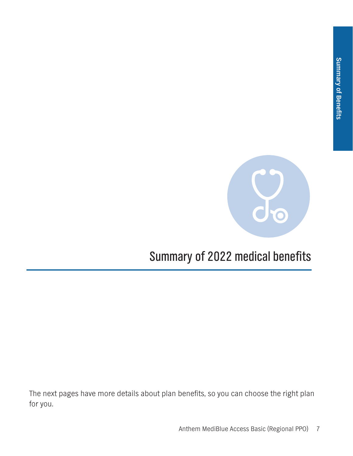

# **Summary of 2022 medical benefits**

**The next pages have more details about plan benefits, so you can choose the right plan for you.**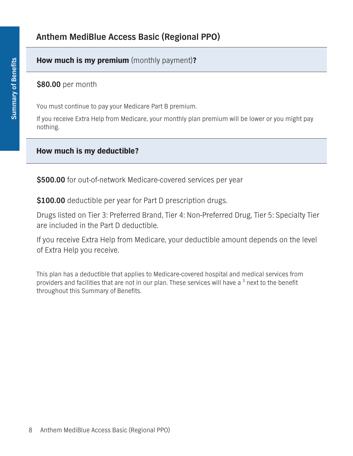### **How much is my premium (monthly payment)?**

**\$80.00 per month**

**You must continue to pay your Medicare Part B premium.**

**If you receive Extra Help from Medicare, your monthly plan premium will be lower or you might pay nothing.**

#### **How much is my deductible?**

**\$500.00 for out-of-network Medicare-covered services per year**

**\$100.00 deductible per year for Part D prescription drugs.**

**Drugs listed on Tier 3: Preferred Brand, Tier 4: Non-Preferred Drug, Tier 5: Specialty Tier are included in the Part D deductible.** 

**If you receive Extra Help from Medicare, your deductible amount depends on the level of Extra Help you receive.**

**This plan has a deductible that applies to Medicare-covered hospital and medical services from providers and facilities that are not in our plan. These services will have a 3 next to the benefit throughout this Summary of Benefits.**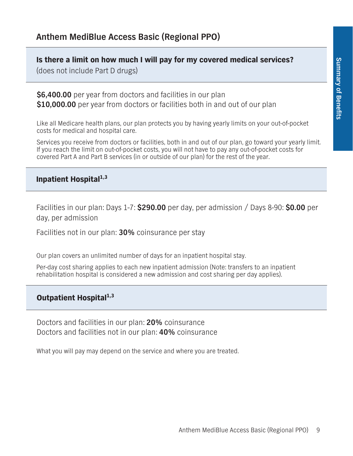**Is there a limit on how much I will pay for my covered medical services?**

**(does not include Part D drugs)**

**\$6,400.00 per year from doctors and facilities in our plan \$10,000.00 per year from doctors or facilities both in and out of our plan**

**Like all Medicare health plans, our plan protects you by having yearly limits on your out-of-pocket costs for medical and hospital care.**

**Services you receive from doctors or facilities, both in and out of our plan, go toward your yearly limit. If you reach the limit on out-of-pocket costs, you will not have to pay any out-of-pocket costs for covered Part A and Part B services (in or outside of our plan) for the rest of the year.** 

#### **Inpatient Hospital1,3**

**Facilities in our plan: Days 1-7: \$290.00 per day, per admission / Days 8-90: \$0.00 per day, per admission**

**Facilities not in our plan: 30% coinsurance per stay**

**Our plan covers an unlimited number of days for an inpatient hospital stay.**

**Per-day cost sharing applies to each new inpatient admission (Note: transfers to an inpatient rehabilitation hospital is considered a new admission and cost sharing per day applies).**

## **Outpatient Hospital1,3**

**Doctors and facilities in our plan: 20% coinsurance Doctors and facilities not in our plan: 40% coinsurance**

**What you will pay may depend on the service and where you are treated.**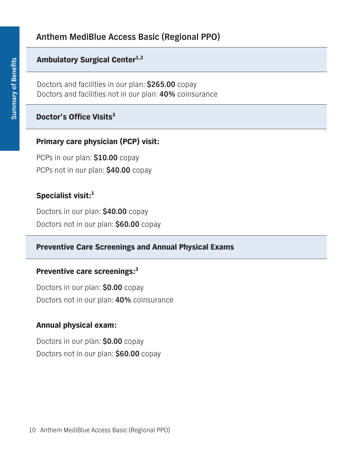## **Ambulatory Surgical Center<sup>1,3</sup>**

**Doctors and facilities in our plan: \$265.00 copay Doctors and facilities not in our plan: 40% coinsurance**

## **Doctor's Office Visits<sup>3</sup>**

## **Primary care physician (PCP) visit:**

**PCPs in our plan: \$10.00 copay PCPs not in our plan: \$40.00 copay**

### **Specialist visit:<sup>1</sup>**

**Doctors in our plan: \$40.00 copay Doctors not in our plan: \$60.00 copay**

#### **Preventive Care Screenings and Annual Physical Exams**

#### **Preventive care screenings:<sup>3</sup>**

**Doctors in our plan: \$0.00 copay Doctors not in our plan: 40% coinsurance**

#### **Annual physical exam:**

**Doctors in our plan: \$0.00 copay Doctors not in our plan: \$60.00 copay**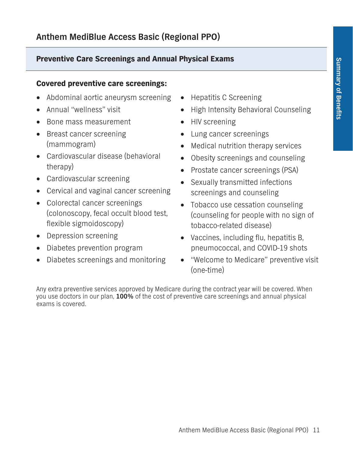## **Preventive Care Screenings and Annual Physical Exams**

## **Covered preventive care screenings:**

- **• Abdominal aortic aneurysm screening**
- **• Annual "wellness" visit**
- **• Bone mass measurement**
- **• Breast cancer screening (mammogram)**
- **• Cardiovascular disease (behavioral therapy)**
- **• Cardiovascular screening**
- **• Cervical and vaginal cancer screening**
- **• Colorectal cancer screenings (colonoscopy, fecal occult blood test, flexible sigmoidoscopy)**
- **• Depression screening**
- **• Diabetes prevention program**
- **• Diabetes screenings and monitoring**
- **• Hepatitis C Screening**
- **• High Intensity Behavioral Counseling**
- **• HIV screening**
- **• Lung cancer screenings**
- **• Medical nutrition therapy services**
- **• Obesity screenings and counseling**
- **• Prostate cancer screenings (PSA)**
- **• Sexually transmitted infections screenings and counseling**
- **• Tobacco use cessation counseling (counseling for people with no sign of tobacco-related disease)**
- **• Vaccines, including flu, hepatitis B, pneumococcal, and COVID-19 shots**
- **• "Welcome to Medicare" preventive visit (one-time)**

**Any extra preventive services approved by Medicare during the contract year will be covered. When you use doctors in our plan, 100% of the cost of preventive care screenings and annual physical exams is covered.**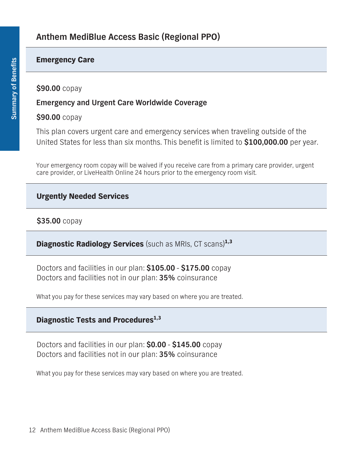#### **Emergency Care**

#### **\$90.00 copay**

### **Emergency and Urgent Care Worldwide Coverage**

### **\$90.00 copay**

**This plan covers urgent care and emergency services when traveling outside of the United States for less than six months. This benefit is limited to \$100,000.00 per year.**

**Your emergency room copay will be waived if you receive care from a primary care provider, urgent care provider, or LiveHealth Online 24 hours prior to the emergency room visit.**

## **Urgently Needed Services**

## **\$35.00 copay**

**Diagnostic Radiology Services (such as MRIs, CT scans)1,3**

**Doctors and facilities in our plan: \$105.00 - \$175.00 copay Doctors and facilities not in our plan: 35% coinsurance**

**What you pay for these services may vary based on where you are treated.**

## **Diagnostic Tests and Procedures**<sup>1,3</sup>

**Doctors and facilities in our plan: \$0.00 - \$145.00 copay Doctors and facilities not in our plan: 35% coinsurance**

**What you pay for these services may vary based on where you are treated.**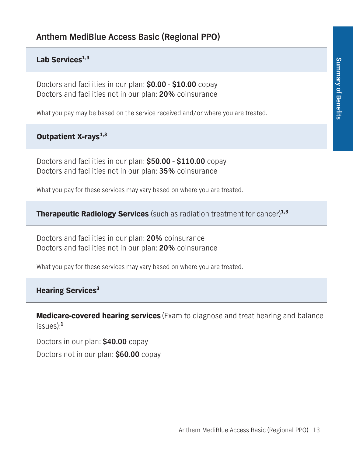### Lab Services<sup>1,3</sup>

**Doctors and facilities in our plan: \$0.00 - \$10.00 copay Doctors and facilities not in our plan: 20% coinsurance**

**What you pay may be based on the service received and/or where you are treated.**

## **Outpatient X-rays1,3**

**Doctors and facilities in our plan: \$50.00 - \$110.00 copay Doctors and facilities not in our plan: 35% coinsurance**

**What you pay for these services may vary based on where you are treated.**

**Therapeutic Radiology Services (such as radiation treatment for cancer)1,3**

**Doctors and facilities in our plan: 20% coinsurance Doctors and facilities not in our plan: 20% coinsurance**

**What you pay for these services may vary based on where you are treated.**

## **Hearing Services3**

**Medicare-covered hearing services (Exam to diagnose and treat hearing and balance issues):<sup>1</sup>**

**Doctors in our plan: \$40.00 copay Doctors not in our plan: \$60.00 copay**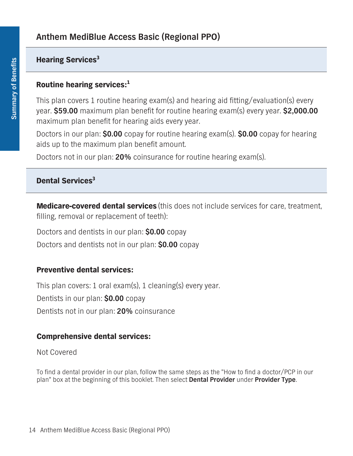## **Hearing Services3**

## **Routine hearing services:<sup>1</sup>**

**This plan covers 1 routine hearing exam(s) and hearing aid fitting/evaluation(s) every year. \$59.00 maximum plan benefit for routine hearing exam(s) every year. \$2,000.00 maximum plan benefit for hearing aids every year.** 

**Doctors in our plan: \$0.00 copay for routine hearing exam(s). \$0.00 copay for hearing aids up to the maximum plan benefit amount.**

**Doctors not in our plan: 20% coinsurance for routine hearing exam(s).**

# **Dental Services3**

**Medicare-covered dental services (this does not include services for care, treatment, filling, removal or replacement of teeth):**

**Doctors and dentists in our plan: \$0.00 copay**

**Doctors and dentists not in our plan: \$0.00 copay**

## **Preventive dental services:**

**This plan covers: 1 oral exam(s), 1 cleaning(s) every year. Dentists in our plan: \$0.00 copay Dentists not in our plan: 20% coinsurance**

## **Comprehensive dental services:**

**Not Covered**

**To find a dental provider in our plan, follow the same steps as the "How to find a doctor/PCP in our plan" box at the beginning of this booklet. Then select Dental Provider under Provider Type.**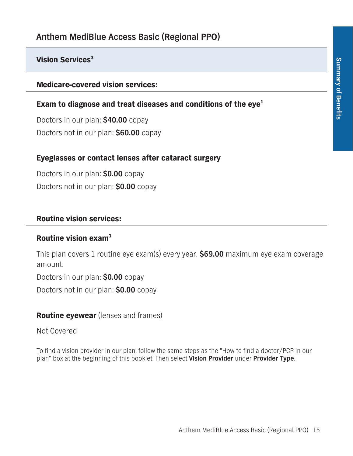## **Vision Services3**

**Medicare-covered vision services:**

### **Exam to diagnose and treat diseases and conditions of the eye1**

**Doctors in our plan: \$40.00 copay Doctors not in our plan: \$60.00 copay**

### **Eyeglasses or contact lenses after cataract surgery**

**Doctors in our plan: \$0.00 copay Doctors not in our plan: \$0.00 copay**

#### **Routine vision services:**

#### **Routine vision exam<sup>1</sup>**

**This plan covers 1 routine eye exam(s) every year. \$69.00 maximum eye exam coverage amount.**

**Doctors in our plan: \$0.00 copay**

**Doctors not in our plan: \$0.00 copay**

## **Routine eyewear (lenses and frames)**

**Not Covered**

**To find a vision provider in our plan, follow the same steps as the "How to find a doctor/PCP in our plan" box at the beginning of this booklet. Then select Vision Provider under Provider Type.**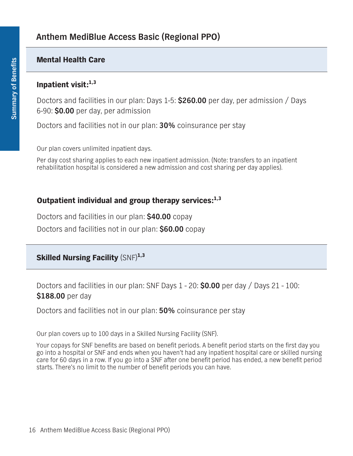### **Mental Health Care**

#### **Inpatient visit:1,3**

**Doctors and facilities in our plan: Days 1-5: \$260.00 per day, per admission / Days 6-90: \$0.00 per day, per admission**

**Doctors and facilities not in our plan: 30% coinsurance per stay**

**Our plan covers unlimited inpatient days.**

**Per day cost sharing applies to each new inpatient admission. (Note: transfers to an inpatient rehabilitation hospital is considered a new admission and cost sharing per day applies).**

#### **Outpatient individual and group therapy services:1,3**

**Doctors and facilities in our plan: \$40.00 copay**

**Doctors and facilities not in our plan: \$60.00 copay**

## **Skilled Nursing Facility (SNF)1,3**

**Doctors and facilities in our plan: SNF Days 1 - 20: \$0.00 per day / Days 21 - 100: \$188.00 per day**

**Doctors and facilities not in our plan: 50% coinsurance per stay**

**Our plan covers up to 100 days in a Skilled Nursing Facility (SNF).**

**Your copays for SNF benefits are based on benefit periods. A benefit period starts on the first day you go into a hospital or SNF and ends when you haven't had any inpatient hospital care or skilled nursing care for 60 days in a row. If you go into a SNF after one benefit period has ended, a new benefit period starts. There's no limit to the number of benefit periods you can have.**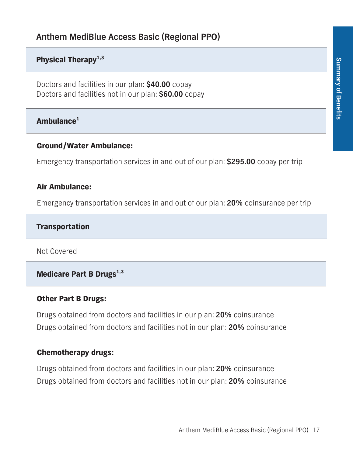## **Physical Therapy1,3**

**Doctors and facilities in our plan: \$40.00 copay Doctors and facilities not in our plan: \$60.00 copay**

# **Ambulance<sup>1</sup>**

#### **Ground/Water Ambulance:**

**Emergency transportation services in and out of our plan: \$295.00 copay per trip**

#### **Air Ambulance:**

**Emergency transportation services in and out of our plan: 20% coinsurance per trip**

#### **Transportation**

**Not Covered**

## **Medicare Part B Drugs1,3**

#### **Other Part B Drugs:**

**Drugs obtained from doctors and facilities in our plan: 20% coinsurance Drugs obtained from doctors and facilities not in our plan: 20% coinsurance**

#### **Chemotherapy drugs:**

**Drugs obtained from doctors and facilities in our plan: 20% coinsurance Drugs obtained from doctors and facilities not in our plan: 20% coinsurance**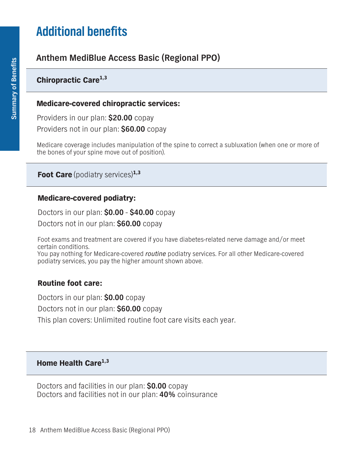# **Additional benefits**

# **Anthem MediBlue Access Basic (Regional PPO)**

# **Chiropractic Care1,3**

### **Medicare-covered chiropractic services:**

**Providers in our plan: \$20.00 copay Providers not in our plan: \$60.00 copay**

**Medicare coverage includes manipulation of the spine to correct a subluxation (when one or more of the bones of your spine move out of position).**

**Foot Care (podiatry services)1,3**

#### **Medicare-covered podiatry:**

**Doctors in our plan: \$0.00 - \$40.00 copay**

**Doctors not in our plan: \$60.00 copay**

**Foot exams and treatment are covered if you have diabetes-related nerve damage and/or meet certain conditions.**

**You pay nothing for Medicare-covered** *routine* **podiatry services. For all other Medicare-covered podiatry services, you pay the higher amount shown above.**

## **Routine foot care:**

**Doctors in our plan: \$0.00 copay Doctors not in our plan: \$60.00 copay This plan covers: Unlimited routine foot care visits each year.**

#### **Home Health Care1,3**

**Doctors and facilities in our plan: \$0.00 copay Doctors and facilities not in our plan: 40% coinsurance**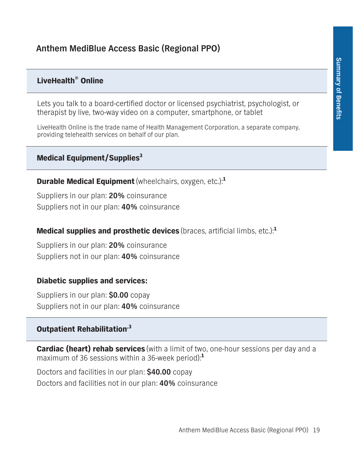## **LiveHealth® Online**

**Lets you talk to a board-certified doctor or licensed psychiatrist, psychologist, or therapist by live, two-way video on a computer, smartphone, or tablet**

**LiveHealth Online is the trade name of Health Management Corporation, a separate company, providing telehealth services on behalf of our plan.**

#### **Medical Equipment/Supplies3**

**Durable Medical Equipment(wheelchairs, oxygen, etc.):<sup>1</sup>**

**Suppliers in our plan: 20% coinsurance Suppliers not in our plan: 40% coinsurance**

#### **Medical supplies and prosthetic devices (braces, artificial limbs, etc.):<sup>1</sup>**

**Suppliers in our plan: 20% coinsurance Suppliers not in our plan: 40% coinsurance**

#### **Diabetic supplies and services:**

**Suppliers in our plan: \$0.00 copay Suppliers not in our plan: 40% coinsurance**

### **Outpatient Rehabilitation,3**

**Cardiac (heart) rehab services (with a limit of two, one-hour sessions per day and a maximum of 36 sessions within a 36-week period):<sup>1</sup>**

**Doctors and facilities in our plan: \$40.00 copay Doctors and facilities not in our plan: 40% coinsurance**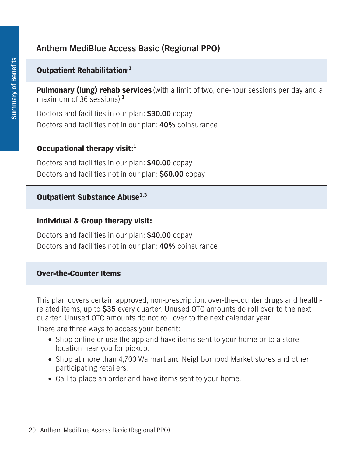## **Outpatient Rehabilitation,3**

**Pulmonary (lung) rehab services (with a limit of two, one-hour sessions per day and a maximum of 36 sessions):<sup>1</sup>**

**Doctors and facilities in our plan: \$30.00 copay Doctors and facilities not in our plan: 40% coinsurance**

#### **Occupational therapy visit:<sup>1</sup>**

**Doctors and facilities in our plan: \$40.00 copay Doctors and facilities not in our plan: \$60.00 copay**

### **Outpatient Substance Abuse<sup>1,3</sup>**

#### **Individual & Group therapy visit:**

**Doctors and facilities in our plan: \$40.00 copay Doctors and facilities not in our plan: 40% coinsurance**

#### **Over-the-Counter Items**

**This plan covers certain approved, non-prescription, over-the-counter drugs and healthrelated items, up to \$35 every quarter. Unused OTC amounts do roll over to the next quarter. Unused OTC amounts do not roll over to the next calendar year.**

**There are three ways to access your benefit:**

- **• Shop online or use the app and have items sent to your home or to a store location near you for pickup.**
- □ Shop at more than 4,700 Walmart and Neighborhood Market stores and other **participating retailers.**
- **• Call to place an order and have items sent to your home.**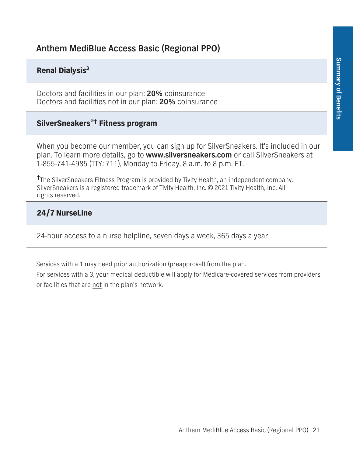#### **Renal Dialysis<sup>3</sup>**

**Doctors and facilities in our plan: 20% coinsurance Doctors and facilities not in our plan: 20% coinsurance**

## **SilverSneakers®† Fitness program**

**When you become our member, you can sign up for SilverSneakers. It's included in our plan. To learn more details, go to www.silversneakers.com or call SilverSneakers at 1-855-741-4985 (TTY: 711), Monday to Friday, 8 a.m. to 8 p.m. ET.**

**† The SilverSneakers Fitness Program is provided by Tivity Health, an independent company. SilverSneakers is a registered trademark of Tivity Health, Inc. © 2021 Tivity Health, Inc. All rights reserved.**

#### **24/7 NurseLine**

**24-hour access to a nurse helpline, seven days a week, 365 days a year**

**Services with a 1 may need prior authorization (preapproval) from the plan.**

**For services with a 3, your medical deductible will apply for Medicare-covered services from providers or facilities that are not in the plan's network.**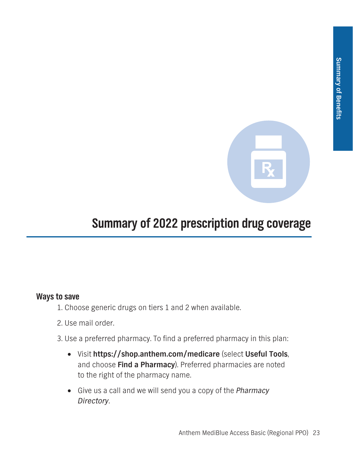

# **Summary of 2022 prescription drug coverage**

## **Ways to save**

- **1. Choose generic drugs on tiers 1 and 2 when available.**
- **2. Use mail order.**
- **3. Use a preferred pharmacy. To find a preferred pharmacy in this plan:**
	- **• Visit https://shop.anthem.com/medicare (select Useful Tools, and choose Find a Pharmacy). Preferred pharmacies are noted to the right of the pharmacy name.**
	- **• Give us a call and we will send you a copy of the** *Pharmacy Directory***.**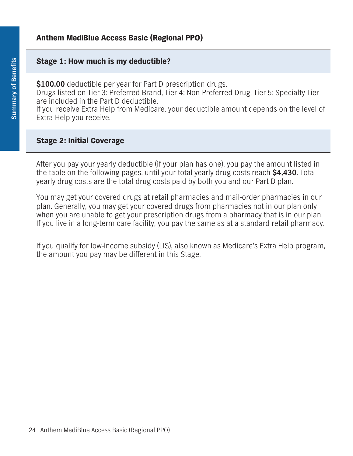#### **Stage 1: How much is my deductible?**

**\$100.00 deductible per year for Part D prescription drugs. Drugs listed on Tier 3: Preferred Brand, Tier 4: Non-Preferred Drug, Tier 5: Specialty Tier are included in the Part D deductible. If you receive Extra Help from Medicare, your deductible amount depends on the level of Extra Help you receive.**

#### **Stage 2: Initial Coverage**

**After you pay your yearly deductible (if your plan has one), you pay the amount listed in the table on the following pages, until your total yearly drug costs reach \$4,430. Total yearly drug costs are the total drug costs paid by both you and our Part D plan.**

**You may get your covered drugs at retail pharmacies and mail-order pharmacies in our plan. Generally, you may get your covered drugs from pharmacies not in our plan only when you are unable to get your prescription drugs from a pharmacy that is in our plan. If you live in a long-term care facility, you pay the same as at a standard retail pharmacy.**

**If you qualify for low-income subsidy (LIS), also known as Medicare's Extra Help program, the amount you pay may be different in this Stage.**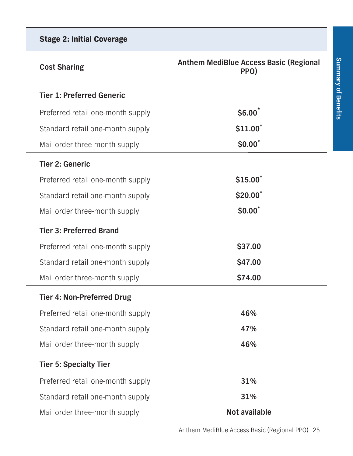| Ì                                                                                                                          |
|----------------------------------------------------------------------------------------------------------------------------|
|                                                                                                                            |
|                                                                                                                            |
| ļ                                                                                                                          |
| t                                                                                                                          |
|                                                                                                                            |
|                                                                                                                            |
| <b>Contract Contract Contract Contract Contract Contract Contract Contract Contract Contract Contract Contract Co</b><br>I |
|                                                                                                                            |
|                                                                                                                            |
|                                                                                                                            |
| F                                                                                                                          |
|                                                                                                                            |
|                                                                                                                            |
| l                                                                                                                          |
| i                                                                                                                          |
|                                                                                                                            |
|                                                                                                                            |

| <b>Stage 2: Initial Coverage</b>  |                                                       |
|-----------------------------------|-------------------------------------------------------|
| <b>Cost Sharing</b>               | <b>Anthem MediBlue Access Basic (Regional</b><br>PPO) |
| <b>Tier 1: Preferred Generic</b>  |                                                       |
| Preferred retail one-month supply | \$6.00                                                |
| Standard retail one-month supply  | \$11.00                                               |
| Mail order three-month supply     | \$0.00"                                               |
| <b>Tier 2: Generic</b>            |                                                       |
| Preferred retail one-month supply | \$15.00                                               |
| Standard retail one-month supply  | \$20.00                                               |
| Mail order three-month supply     | \$0.00"                                               |
| <b>Tier 3: Preferred Brand</b>    |                                                       |
| Preferred retail one-month supply | \$37.00                                               |
| Standard retail one-month supply  | \$47.00                                               |
| Mail order three-month supply     | \$74.00                                               |
| <b>Tier 4: Non-Preferred Drug</b> |                                                       |
| Preferred retail one-month supply | 46%                                                   |
| Standard retail one-month supply  | 47%                                                   |
| Mail order three-month supply     | 46%                                                   |
| <b>Tier 5: Specialty Tier</b>     |                                                       |
| Preferred retail one-month supply | 31%                                                   |
| Standard retail one-month supply  | 31%                                                   |
| Mail order three-month supply     | Not available                                         |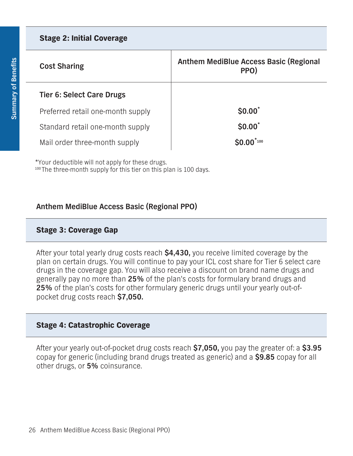| <b>Stage 2: Initial Coverage</b>  |                                                       |
|-----------------------------------|-------------------------------------------------------|
| <b>Cost Sharing</b>               | <b>Anthem MediBlue Access Basic (Regional</b><br>PPO) |
| <b>Tier 6: Select Care Drugs</b>  |                                                       |
| Preferred retail one-month supply | \$0.00"                                               |
| Standard retail one-month supply  | \$0.00"                                               |
| Mail order three-month supply     | $SO.00^{r_{100}}$                                     |

**\*Your deductible will not apply for these drugs. <sup>100</sup> The three-month supply for this tier on this plan is 100 days.**

## **Anthem MediBlue Access Basic (Regional PPO)**

## **Stage 3: Coverage Gap**

**After your total yearly drug costs reach \$4,430, you receive limited coverage by the plan on certain drugs. You will continue to pay your ICL cost share for Tier 6 select care drugs in the coverage gap. You will also receive a discount on brand name drugs and generally pay no more than 25% of the plan's costs for formulary brand drugs and 25% of the plan's costs for other formulary generic drugs until your yearly out-ofpocket drug costs reach \$7,050.**

## **Stage 4: Catastrophic Coverage**

**After your yearly out-of-pocket drug costs reach \$7,050, you pay the greater of: a \$3.95 copay for generic (including brand drugs treated as generic) and a \$9.85 copay for all other drugs, or 5% coinsurance.**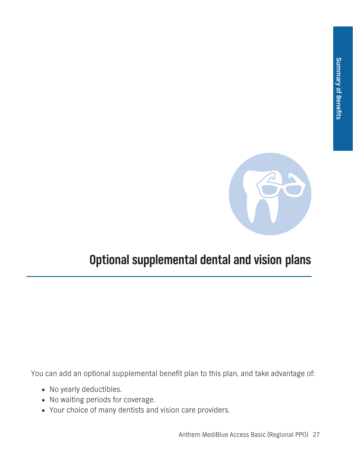

# **Optional supplemental dental and vision plans**

**You can add an optional supplemental benefit plan to this plan, and take advantage of:**

- **• No yearly deductibles.**
- **• No waiting periods for coverage.**
- **• Your choice of many dentists and vision care providers.**

**Anthem MediBlue Access Basic (Regional PPO) 27**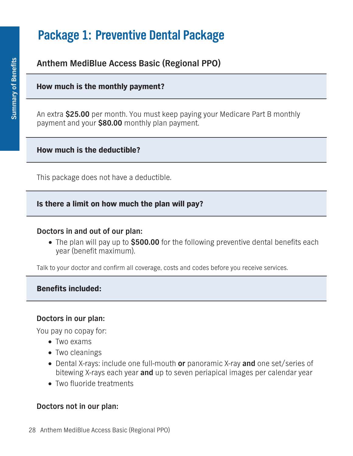# **Package 1: Preventive Dental Package**

# **Anthem MediBlue Access Basic (Regional PPO)**

### **How much is the monthly payment?**

**An extra \$25.00 per month. You must keep paying your Medicare Part B monthly payment and your \$80.00 monthly plan payment.**

#### **How much is the deductible?**

**This package does not have a deductible.**

#### **Is there a limit on how much the plan will pay?**

#### **Doctors in and out of our plan:**

**• The plan will pay up to \$500.00 for the following preventive dental benefits each year (benefit maximum).**

**Talk to your doctor and confirm all coverage, costs and codes before you receive services.**

#### **Benefits included:**

#### **Doctors in our plan:**

**You pay no copay for:**

- **• Two exams**
- **• Two cleanings**
- **• Dental X-rays: include one full-mouth or panoramic X-ray and one set/series of bitewing X-rays each year and up to seven periapical images per calendar year**
- **• Two fluoride treatments**

## **Doctors not in our plan:**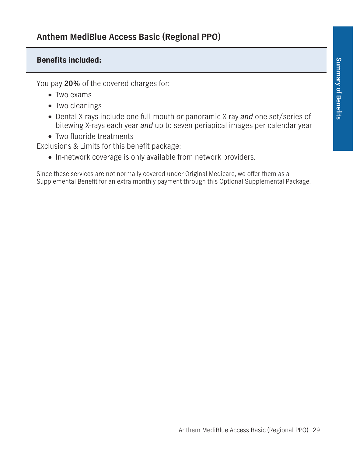## **Benefits included:**

**You pay 20% of the covered charges for:**

- **• Two exams**
- **• Two cleanings**
- **• Dental X-rays include one full-mouth** *or* **panoramic X-ray** *and* **one set/series of bitewing X-rays each year** *and* **up to seven periapical images per calendar year**
- **• Two fluoride treatments**

**Exclusions & Limits for this benefit package:**

**• In-network coverage is only available from network providers.**

**Since these services are not normally covered under Original Medicare, we offer them as a Supplemental Benefit for an extra monthly payment through this Optional Supplemental Package.**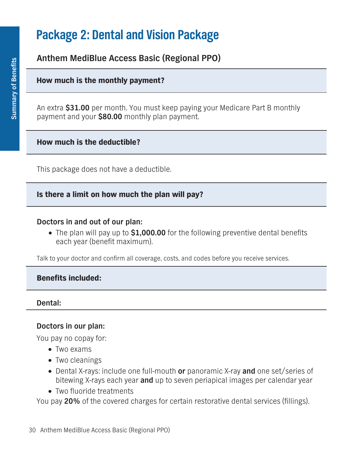# **Package 2: Dental and Vision Package**

## **Anthem MediBlue Access Basic (Regional PPO)**

#### **How much is the monthly payment?**

**An extra \$31.00 per month. You must keep paying your Medicare Part B monthly payment and your \$80.00 monthly plan payment.**

#### **How much is the deductible?**

**This package does not have a deductible.**

#### **Is there a limit on how much the plan will pay?**

#### **Doctors in and out of our plan:**

**• The plan will pay up to \$1,000.00 for the following preventive dental benefits each year (benefit maximum).**

**Talk to your doctor and confirm all coverage, costs, and codes before you receive services.**

#### **Benefits included:**

#### **Dental:**

#### **Doctors in our plan:**

**You pay no copay for:**

- **• Two exams**
- **• Two cleanings**
- **• Dental X-rays: include one full-mouth or panoramic X-ray and one set/series of bitewing X-rays each year and up to seven periapical images per calendar year**
- **• Two fluoride treatments**

**You pay 20% of the covered charges for certain restorative dental services (fillings).**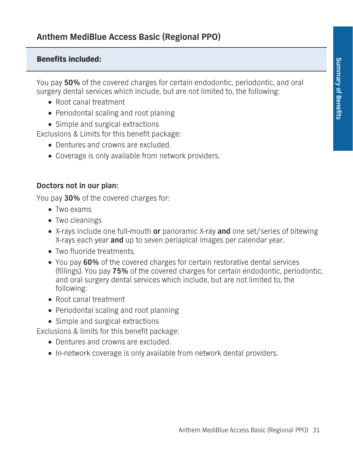## **Benefits included:**

**You pay 50% of the covered charges for certain endodontic, periodontic, and oral surgery dental services which include, but are not limited to, the following:**

- **• Root canal treatment**
- **• Periodontal scaling and root planing**
- **• Simple and surgical extractions**

**Exclusions & Limits for this benefit package:**

- **• Dentures and crowns are excluded.**
- **• Coverage is only available from network providers.**

### **Doctors not in our plan:**

**You pay 30% of the covered charges for:**

- **• Two exams**
- **• Two cleanings**
- **• X-rays include one full-mouth or panoramic X-ray and one set/series of bitewing X-rays each year and up to seven periapical images per calendar year.**
- **• Two fluoride treatments.**
- **• You pay 60% of the covered charges for certain restorative dental services (fillings). You pay 75% of the covered charges for certain endodontic, periodontic, and oral surgery dental services which include, but are not limited to, the following:**
- **• Root canal treatment**
- **• Periodontal scaling and root planning**
- **• Simple and surgical extractions**

**Exclusions & limits for this benefit package:**

- **• Dentures and crowns are excluded.**
- **• In-network coverage is only available from network dental providers.**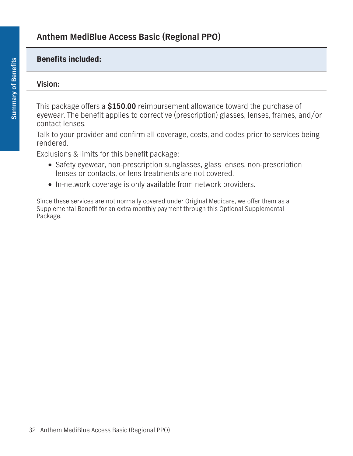### **Benefits included:**

#### **Vision:**

**This package offers a \$150.00 reimbursement allowance toward the purchase of eyewear. The benefit applies to corrective (prescription) glasses, lenses, frames, and/or contact lenses.**

**Talk to your provider and confirm all coverage, costs, and codes prior to services being rendered.**

**Exclusions & limits for this benefit package:**

- **• Safety eyewear, non-prescription sunglasses, glass lenses, non-prescription lenses or contacts, or lens treatments are not covered.**
- **• In-network coverage is only available from network providers.**

**Since these services are not normally covered under Original Medicare, we offer them as a Supplemental Benefit for an extra monthly payment through this Optional Supplemental Package.**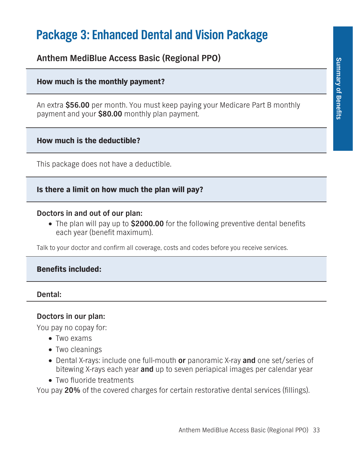# **Package 3: Enhanced Dental and Vision Package**

**Anthem MediBlue Access Basic (Regional PPO)**

# **How much is the monthly payment?**

**An extra \$56.00 per month. You must keep paying your Medicare Part B monthly payment and your \$80.00 monthly plan payment.**

# **How much is the deductible?**

**This package does not have a deductible.**

# **Is there a limit on how much the plan will pay?**

# **Doctors in and out of our plan:**

**• The plan will pay up to \$2000.00 for the following preventive dental benefits each year (benefit maximum).**

**Talk to your doctor and confirm all coverage, costs and codes before you receive services.**

# **Benefits included:**

## **Dental:**

# **Doctors in our plan:**

**You pay no copay for:**

- **• Two exams**
- **• Two cleanings**
- **• Dental X-rays: include one full-mouth or panoramic X-ray and one set/series of bitewing X-rays each year and up to seven periapical images per calendar year**
- **• Two fluoride treatments**

**You pay 20% of the covered charges for certain restorative dental services (fillings).**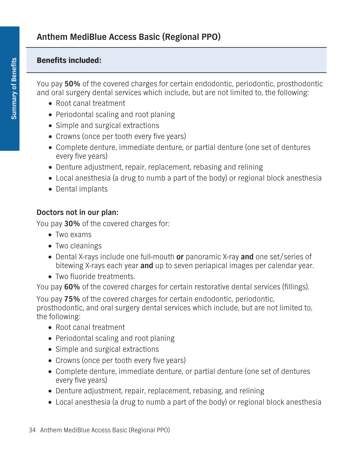## **Benefits included:**

**You pay 50% of the covered charges for certain endodontic, periodontic, prosthodontic and oral surgery dental services which include, but are not limited to, the following:**

- **• Root canal treatment**
- **• Periodontal scaling and root planing**
- **• Simple and surgical extractions**
- **• Crowns (once per tooth every five years)**
- **• Complete denture, immediate denture, or partial denture (one set of dentures every five years)**
- **• Denture adjustment, repair, replacement, rebasing and relining**
- **• Local anesthesia (a drug to numb a part of the body) or regional block anesthesia**
- **• Dental implants**

## **Doctors not in our plan:**

**You pay 30% of the covered charges for:**

- **• Two exams**
- **• Two cleanings**
- **• Dental X-rays include one full-mouth or panoramic X-ray and one set/series of bitewing X-rays each year and up to seven periapical images per calendar year.**
- **• Two fluoride treatments.**

**You pay 60% of the covered charges for certain restorative dental services (fillings).**

**You pay 75% of the covered charges for certain endodontic, periodontic, prosthodontic, and oral surgery dental services which include, but are not limited to, the following:**

- **• Root canal treatment**
- **• Periodontal scaling and root planing**
- **• Simple and surgical extractions**
- **• Crowns (once per tooth every five years)**
- **• Complete denture, immediate denture, or partial denture (one set of dentures every five years)**
- **• Denture adjustment, repair, replacement, rebasing, and relining**
- **• Local anesthesia (a drug to numb a part of the body) or regional block anesthesia**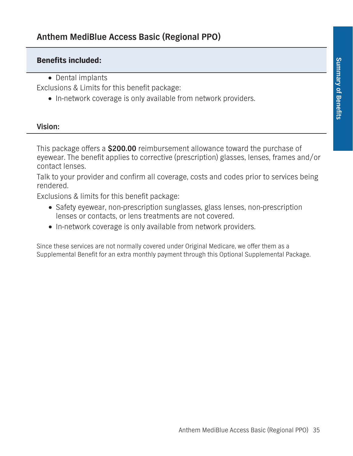## **Benefits included:**

**• Dental implants**

**Exclusions & Limits for this benefit package:**

**• In-network coverage is only available from network providers.**

#### **Vision:**

**This package offers a \$200.00 reimbursement allowance toward the purchase of eyewear. The benefit applies to corrective (prescription) glasses, lenses, frames and/or contact lenses.**

**Talk to your provider and confirm all coverage, costs and codes prior to services being rendered.**

**Exclusions & limits for this benefit package:**

- **• Safety eyewear, non-prescription sunglasses, glass lenses, non-prescription lenses or contacts, or lens treatments are not covered.**
- **• In-network coverage is only available from network providers.**

**Since these services are not normally covered under Original Medicare, we offer them as a Supplemental Benefit for an extra monthly payment through this Optional Supplemental Package.**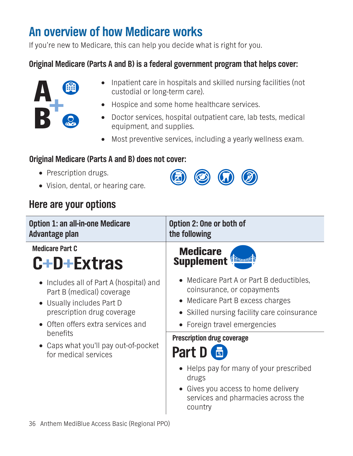# **An overview of how Medicare works**

**If you're new to Medicare, this can help you decide what is right for you.**

# **Original Medicare (Parts A and B) is a federal government program that helps cover:**



- **• Inpatient care in hospitals and skilled nursing facilities (not custodial or long-term care).**
- **• Hospice and some home healthcare services.**
- **• Doctor services, hospital outpatient care, lab tests, medical equipment, and supplies.**
- **• Most preventive services, including a yearly wellness exam.**

 $\circledcirc$ 

# **Original Medicare (Parts A and B) does not cover:**

- **• Prescription drugs.**
- **• Vision, dental, or hearing care.**

# **Here are your options**

| <b>Option 1: an all-in-one Medicare</b><br>Advantage plan                                                                                                                                                                                                     | Option 2: One or both of<br>the following                                                                                                                                                |
|---------------------------------------------------------------------------------------------------------------------------------------------------------------------------------------------------------------------------------------------------------------|------------------------------------------------------------------------------------------------------------------------------------------------------------------------------------------|
| <b>Medicare Part C</b><br>C+D+Extras                                                                                                                                                                                                                          | <b>Medicare</b><br><b>Supplement</b>                                                                                                                                                     |
| $\Box$ Includes all of Part A (hospital) and<br>Part B (medical) coverage<br>$\Box$ Usually includes Part D<br>prescription drug coverage<br>Often offers extra services and<br>benefits<br>$\Box$ Caps what you'll pay out-of-pocket<br>for medical services | $\Box$ Medicare Part A or Part B deductibles,<br>coinsurance, or copayments<br>Medicare Part B excess charges<br>Skilled nursing facility care coinsurance<br>Foreign travel emergencies |
|                                                                                                                                                                                                                                                               | <b>Prescription drug coverage</b><br>Part D                                                                                                                                              |
|                                                                                                                                                                                                                                                               | $\Box$ Helps pay for many of your prescribed<br>drugs<br>Gives you access to home delivery<br>services and pharmacies across the<br>country                                              |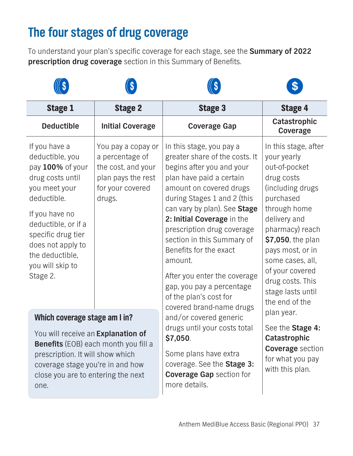# **The four stages of drug coverage**

**To understand your plan's specific coverage for each stage, see the Summary of 2022 prescription drug coverage section in this Summary of Benefits.**

| <b>Stage 1</b>                                                                                                                                                                                                                                  | <b>Stage 2</b>                                                                                                  | <b>Stage 3</b>                                                                                                                                                                                                                                                                                                                                                                                                                                                                                                            | <b>Stage 4</b>                                                                                                                                                                                                                                                                                     |
|-------------------------------------------------------------------------------------------------------------------------------------------------------------------------------------------------------------------------------------------------|-----------------------------------------------------------------------------------------------------------------|---------------------------------------------------------------------------------------------------------------------------------------------------------------------------------------------------------------------------------------------------------------------------------------------------------------------------------------------------------------------------------------------------------------------------------------------------------------------------------------------------------------------------|----------------------------------------------------------------------------------------------------------------------------------------------------------------------------------------------------------------------------------------------------------------------------------------------------|
| <b>Deductible</b>                                                                                                                                                                                                                               | <b>Initial Coverage</b>                                                                                         | <b>Coverage Gap</b>                                                                                                                                                                                                                                                                                                                                                                                                                                                                                                       | Catastrophic<br>Coverage                                                                                                                                                                                                                                                                           |
| If you have a<br>deductible, you<br>pay 100% of your<br>drug costs until<br>you meet your<br>deductible.<br>If you have no<br>deductible, or if a<br>specific drug tier<br>does not apply to<br>the deductible,<br>you will skip to<br>Stage 2. | You pay a copay or<br>a percentage of<br>the cost, and your<br>plan pays the rest<br>for your covered<br>drugs. | In this stage, you pay a<br>greater share of the costs. It<br>begins after you and your<br>plan have paid a certain<br>amount on covered drugs<br>during Stages 1 and 2 (this<br>can vary by plan). See Stage<br>2: Initial Coverage in the<br>prescription drug coverage<br>section in this Summary of<br>Benefits for the exact<br>amount.<br>After you enter the coverage<br>gap, you pay a percentage<br>of the plan's cost for<br>covered brand-name drugs<br>and/or covered generic<br>drugs until your costs total | In this stage, after<br>your yearly<br>out-of-pocket<br>drug costs<br>(including drugs)<br>purchased<br>through home<br>delivery and<br>pharmacy) reach<br>\$7,050, the plan<br>pays most, or in<br>some cases, all,<br>of your covered<br>drug costs. This<br>stage lasts until<br>the end of the |
| Which coverage stage am I in?                                                                                                                                                                                                                   |                                                                                                                 |                                                                                                                                                                                                                                                                                                                                                                                                                                                                                                                           | plan year.<br>See the Stage 4:<br>Catastrophic<br><b>Coverage</b> section<br>for what you pay<br>with this plan.                                                                                                                                                                                   |
| You will receive an Explanation of<br><b>Benefits</b> (EOB) each month you fill a<br>prescription. It will show which<br>coverage stage you're in and how<br>close you are to entering the next<br>one.                                         |                                                                                                                 | \$7,050.<br>Some plans have extra<br>coverage. See the Stage 3:<br><b>Coverage Gap section for</b><br>more details.                                                                                                                                                                                                                                                                                                                                                                                                       |                                                                                                                                                                                                                                                                                                    |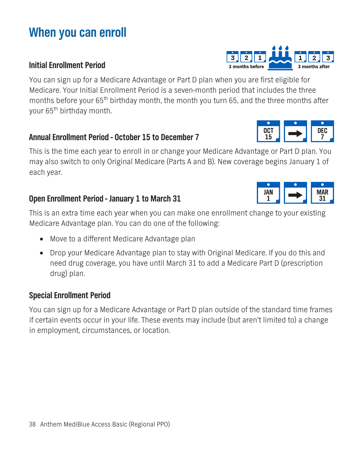# **When you can enroll**

# **Initial Enrollment Period**

**You can sign up for a Medicare Advantage or Part D plan when you are first eligible for Medicare. Your Initial Enrollment Period is a seven-month period that includes the three months before your 65th birthday month, the month you turn 65, and the three months after your 65th birthday month.**

## **Annual Enrollment Period - October 15 to December 7**

**This is the time each year to enroll in or change your Medicare Advantage or Part D plan. You may also switch to only Original Medicare (Parts A and B). New coverage begins January 1 of each year.**

# **Open Enrollment Period - January 1 to March 31**

**This is an extra time each year when you can make one enrollment change to your existing Medicare Advantage plan. You can do one of the following:**

- **• Move to a different Medicare Advantage plan**
- **• Drop your Medicare Advantage plan to stay with Original Medicare. If you do this and need drug coverage, you have until March 31 to add a Medicare Part D (prescription drug) plan.**

## **Special Enrollment Period**

**You can sign up for a Medicare Advantage or Part D plan outside of the standard time frames if certain events occur in your life. These events may include (but aren't limited to) a change in employment, circumstances, or location.**



OCT 15



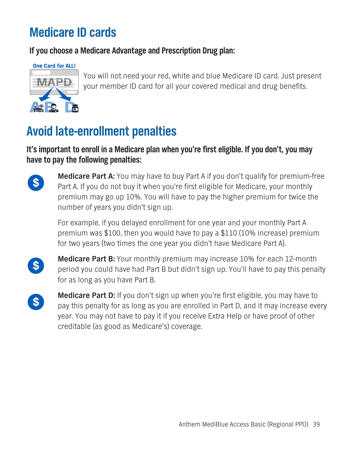# **Medicare ID cards**

**If you choose a Medicare Advantage and Prescription Drug plan:**

**One Card for ALL!** 

 $\mathbf{L}$   $\mathbf{C}$ 

**You will not need your red, white and blue Medicare ID card. Just present your member ID card for all your covered medical and drug benefits.**

# **Avoid late-enrollment penalties**

# **It's important to enroll in a Medicare plan when you're first eligible. If you don't, you may have to pay the following penalties:**



**Medicare Part A: You may have to buy Part A if you don't qualify for premium-free Part A. If you do not buy it when you're first eligible for Medicare, your monthly premium may go up 10%. You will have to pay the higher premium for twice the number of years you didn't sign up.**

**For example, if you delayed enrollment for one year and your monthly Part A premium was \$100, then you would have to pay a \$110 (10% increase) premium for two years (two times the one year you didn't have Medicare Part A).** 

 $\boldsymbol{\$}$ 

**Medicare Part B: Your monthly premium may increase 10% for each 12-month period you could have had Part B but didn't sign up. You'll have to pay this penalty for as long as you have Part B.**



**Medicare Part D: If you don't sign up when you're first eligible, you may have to pay this penalty for as long as you are enrolled in Part D, and it may increase every year. You may not have to pay it if you receive Extra Help or have proof of other creditable (as good as Medicare's) coverage.**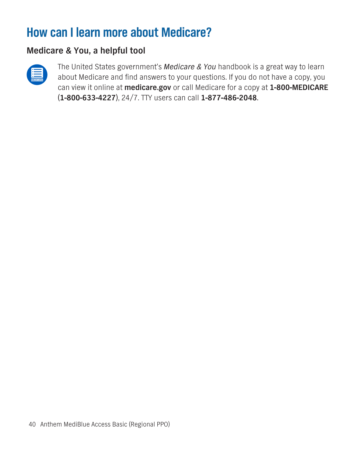# **How can I learn more about Medicare?**

# **Medicare & You, a helpful tool**



**The United States government's** *Medicare & You* **handbook is a great way to learn about Medicare and find answers to your questions. If you do not have a copy, you can view it online at medicare.gov or call Medicare for a copy at 1-800-MEDICARE (1-800-633-4227), 24/7. TTY users can call 1-877-486-2048.**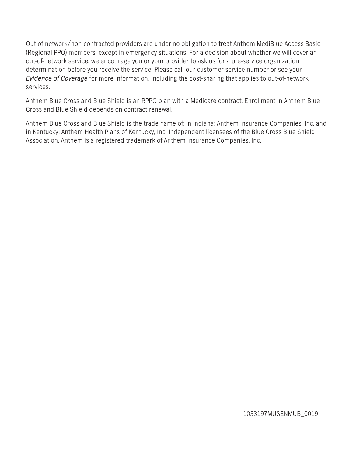**Out-of-network/non-contracted providers are under no obligation to treat Anthem MediBlue Access Basic (Regional PPO) members, except in emergency situations. For a decision about whether we will cover an out-of-network service, we encourage you or your provider to ask us for a pre-service organization determination before you receive the service. Please call our customer service number or see your**  *Evidence of Coverage* **for more information, including the cost-sharing that applies to out-of-network services.**

**Anthem Blue Cross and Blue Shield is an RPPO plan with a Medicare contract. Enrollment in Anthem Blue Cross and Blue Shield depends on contract renewal.**

**Anthem Blue Cross and Blue Shield is the trade name of: in Indiana: Anthem Insurance Companies, Inc. and in Kentucky: Anthem Health Plans of Kentucky, Inc. Independent licensees of the Blue Cross Blue Shield Association. Anthem is a registered trademark of Anthem Insurance Companies, Inc.**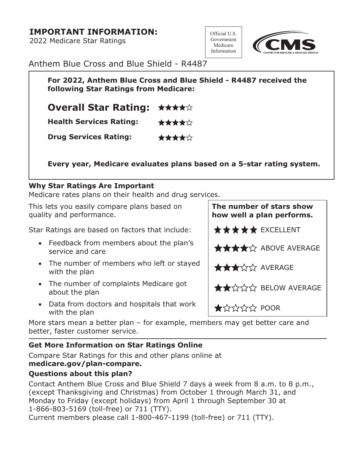## **IMPORTANT INFORMATION:**

**2022 Medicare Star Ratings**

**Official U.S. Government Medicare Information**



**Anthem Blue Cross and Blue Shield - R4487**

**For 2022, Anthem Blue Cross and Blue Shield - R4487 received the following Star Ratings from Medicare:**

**Overall Star Rating:** ★★★★☆

**Health Services Rating:** ★★★★☆

**Drug Services Rating:** \*\*\*\*\*\*

**Every year, Medicare evaluates plans based on a 5-star rating system.**

## **Why Star Ratings Are Important**

**Medicare rates plans on their health and drug services.**

**This lets you easily compare plans based on quality and performance.**

**Star Ratings are based on factors that include:** 

- **• Feedback from members about the plan's**  service and care
- **• The number of members who left or stayed**  with the plan
- **• The number of complaints Medicare got**  about the plan
- **• Data from doctors and hospitals that work Path the plan**<br>with the plan

**More stars mean a better plan – for example, members may get better care and better, faster customer service.**

## **Get More Information on Star Ratings Online**

**Compare Star Ratings for this and other plans online at [medicare.gov/plan-compare.](medicare.gov/plan-compare)**

## **Questions about this plan?**

**Contact Anthem Blue Cross and Blue Shield 7 days a week from 8 a.m. to 8 p.m., (except Thanksgiving and Christmas) from October 1 through March 31, and Monday to Friday (except holidays) from April 1 through September 30 at 1-866-803-5169 (toll-free) or 711 (TTY).** 

**Current members please call 1-800-467-1199 (toll-free) or 711 (TTY).** 

| The number of stars show<br>how well a plan performs. |  |  |  |
|-------------------------------------------------------|--|--|--|
| <b>★★★★★</b> EXCELLENT                                |  |  |  |
| <b>****</b> * ABOVE AVERAGE                           |  |  |  |
| ★★★☆☆ AVERAGE                                         |  |  |  |
| ★★☆☆☆ BELOW AVERAGE                                   |  |  |  |
| $\bigstar$ x x x x $\uparrow$ POOR                    |  |  |  |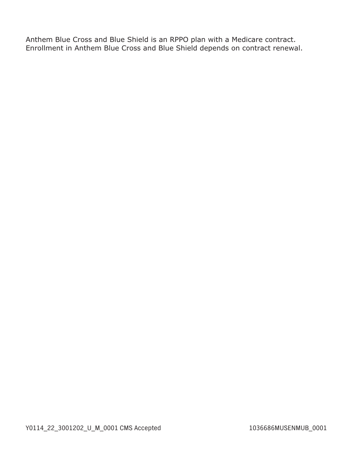**Anthem Blue Cross and Blue Shield is an RPPO plan with a Medicare contract. Enrollment in Anthem Blue Cross and Blue Shield depends on contract renewal.**